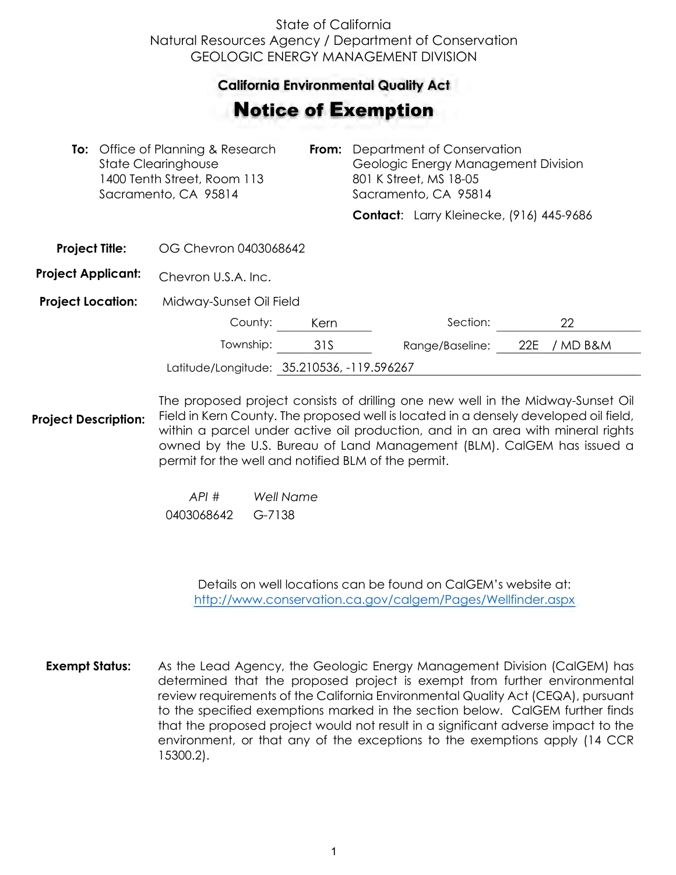## State of California Natural Resources Agency / Department of Conservation GEOLOGIC ENERGY MANAGEMENT DIVISION

## **California Environmental Quality Act**  California Environmental Quality Act

## Notice of Exemption **otice of Exemption**

| <b>To:</b> Office of Planning & Research<br><b>State Clearinghouse</b><br>1400 Tenth Street, Room 113<br>Sacramento, CA 95814 |  | From:                                      | Department of Conservation<br>Geologic Energy Management Division<br>801 K Street, MS 18-05<br>Sacramento, CA 95814 |  |                                          |     |          |  |
|-------------------------------------------------------------------------------------------------------------------------------|--|--------------------------------------------|---------------------------------------------------------------------------------------------------------------------|--|------------------------------------------|-----|----------|--|
|                                                                                                                               |  |                                            |                                                                                                                     |  | Contact: Larry Kleinecke, (916) 445-9686 |     |          |  |
| <b>Project Title:</b>                                                                                                         |  | OG Chevron 0403068642                      |                                                                                                                     |  |                                          |     |          |  |
| <b>Project Applicant:</b>                                                                                                     |  | Chevron U.S.A. Inc.                        |                                                                                                                     |  |                                          |     |          |  |
| <b>Project Location:</b>                                                                                                      |  | Midway-Sunset Oil Field                    |                                                                                                                     |  |                                          |     |          |  |
|                                                                                                                               |  | County:                                    | Kern                                                                                                                |  | Section:                                 |     | 22       |  |
|                                                                                                                               |  | Township:                                  | 31S                                                                                                                 |  | Range/Baseline:                          | 22E | / MD B&M |  |
|                                                                                                                               |  | Latitude/Longitude: 35.210536, -119.596267 |                                                                                                                     |  |                                          |     |          |  |

**Project Description:** The proposed project consists of drilling one new well in the Midway-Sunset Oil Field in Kern County. The proposed well is located in a densely developed oil field, within a parcel under active oil production, and in an area with mineral rights owned by the U.S. Bureau of Land Management (BLM). CalGEM has issued a permit for the well and notified BLM of the permit.

> *API # Well Name*  0403068642 G-7138

> > Details on well locations can be found on CalGEM's website at: <http://www.conservation.ca.gov/calgem/Pages/Wellfinder.aspx>

**Exempt Status:** As the Lead Agency, the Geologic Energy Management Division (CalGEM) has determined that the proposed project is exempt from further environmental review requirements of the California Environmental Quality Act (CEQA), pursuant to the specified exemptions marked in the section below. CalGEM further finds that the proposed project would not result in a significant adverse impact to the environment, or that any of the exceptions to the exemptions apply (14 CCR 15300.2).